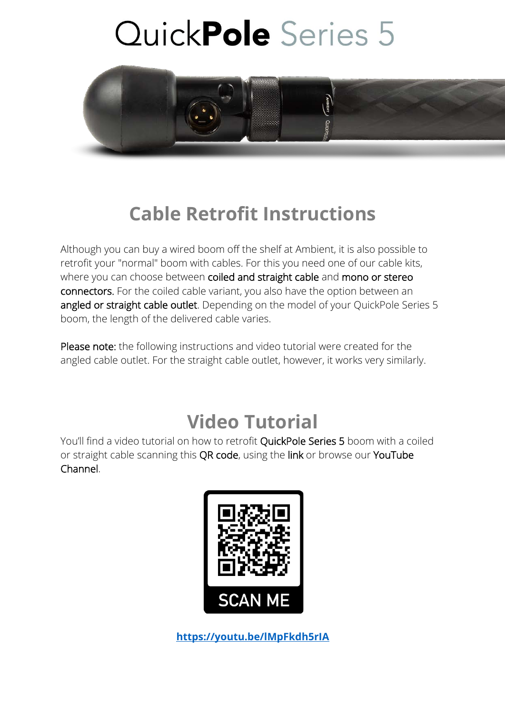

### **Cable Retrofit Instructions**

Although you can buy a wired boom off the shelf at Ambient, it is also possible to retrofit your "normal" boom with cables. For this you need one of our cable kits, where you can choose between coiled and straight cable and mono or stereo connectors. For the coiled cable variant, you also have the option between an angled or straight cable outlet. Depending on the model of your QuickPole Series 5 boom, the length of the delivered cable varies.

Please note: the following instructions and video tutorial were created for the angled cable outlet. For the straight cable outlet, however, it works very similarly.

### **Video Tutorial**

You'll find a video tutorial on how to retrofit QuickPole Series 5 boom with a coiled or straight cable scanning this QR code, using the link or browse our YouTube Channel.



**https://youtu.be/lMpFkdh5rIA**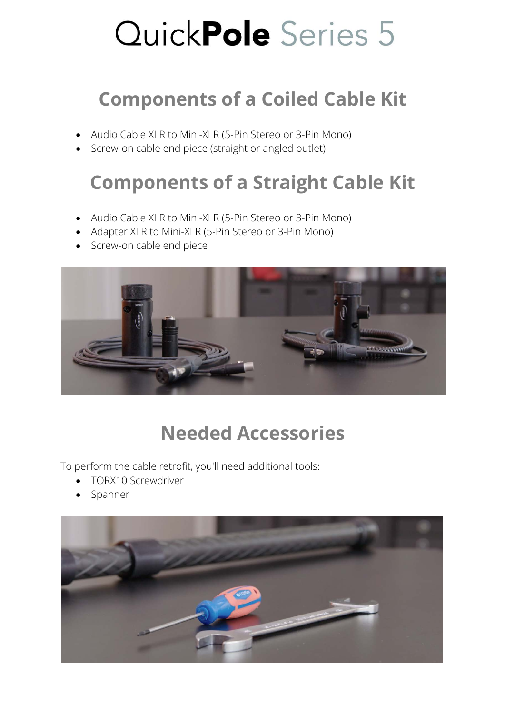### **Components of a Coiled Cable Kit**

- Audio Cable XLR to Mini-XLR (5-Pin Stereo or 3-Pin Mono)
- Screw-on cable end piece (straight or angled outlet)

## **Components of a Straight Cable Kit**

- Audio Cable XLR to Mini-XLR (5-Pin Stereo or 3-Pin Mono)
- Adapter XLR to Mini-XLR (5-Pin Stereo or 3-Pin Mono)
- Screw-on cable end piece



## **Needed Accessories**

To perform the cable retrofit, you'll need additional tools:

- TORX10 Screwdriver
- Spanner

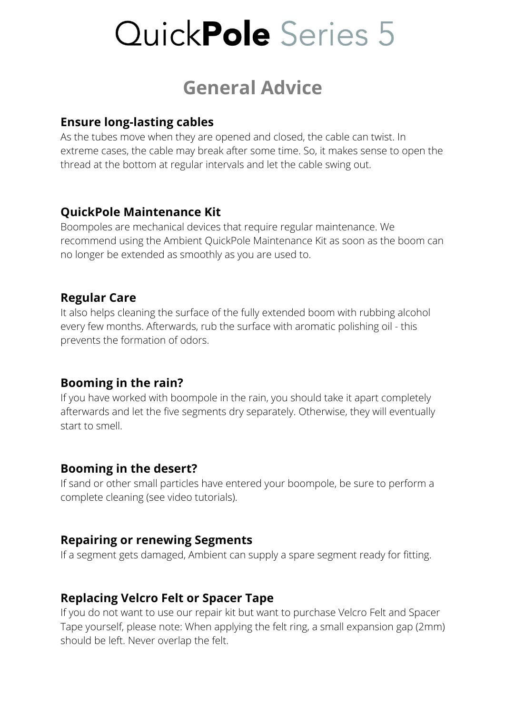### **General Advice**

#### **Ensure long-lasting cables**

As the tubes move when they are opened and closed, the cable can twist. In extreme cases, the cable may break after some time. So, it makes sense to open the thread at the bottom at regular intervals and let the cable swing out.

#### **QuickPole Maintenance Kit**

Boompoles are mechanical devices that require regular maintenance. We recommend using the Ambient QuickPole Maintenance Kit as soon as the boom can no longer be extended as smoothly as you are used to.

#### **Regular Care**

It also helps cleaning the surface of the fully extended boom with rubbing alcohol every few months. Afterwards, rub the surface with aromatic polishing oil - this prevents the formation of odors.

#### **Booming in the rain?**

If you have worked with boompole in the rain, you should take it apart completely afterwards and let the five segments dry separately. Otherwise, they will eventually start to smell.

#### **Booming in the desert?**

If sand or other small particles have entered your boompole, be sure to perform a complete cleaning (see video tutorials).

#### **Repairing or renewing Segments**

If a segment gets damaged, Ambient can supply a spare segment ready for fitting.

#### **Replacing Velcro Felt or Spacer Tape**

If you do not want to use our repair kit but want to purchase Velcro Felt and Spacer Tape yourself, please note: When applying the felt ring, a small expansion gap (2mm) should be left. Never overlap the felt.